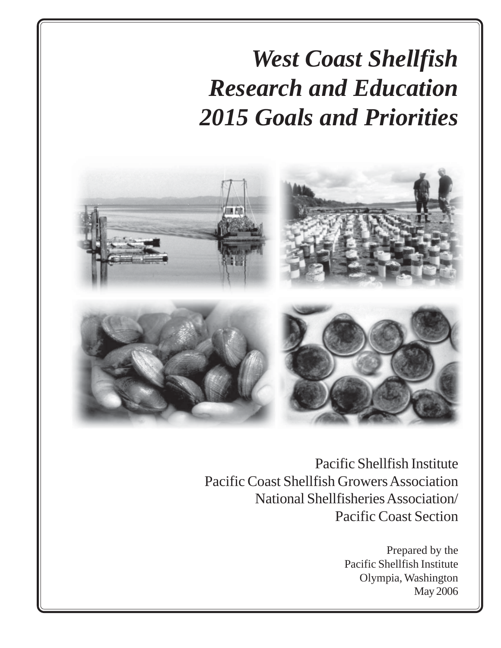# *West Coast Shellfish Research and Education 2015 Goals and Priorities*



Pacific Shellfish Institute Pacific Coast Shellfish Growers Association National Shellfisheries Association/ Pacific Coast Section

> Prepared by the Pacific Shellfish Institute Olympia, Washington May 2006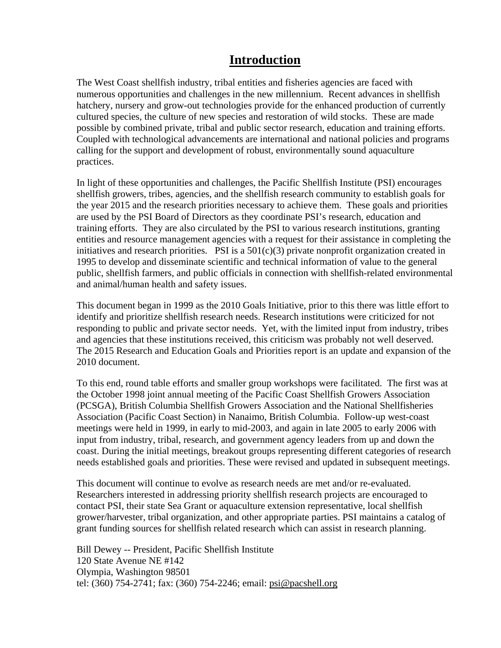# **Introduction**

The West Coast shellfish industry, tribal entities and fisheries agencies are faced with numerous opportunities and challenges in the new millennium. Recent advances in shellfish hatchery, nursery and grow-out technologies provide for the enhanced production of currently cultured species, the culture of new species and restoration of wild stocks. These are made possible by combined private, tribal and public sector research, education and training efforts. Coupled with technological advancements are international and national policies and programs calling for the support and development of robust, environmentally sound aquaculture practices.

In light of these opportunities and challenges, the Pacific Shellfish Institute (PSI) encourages shellfish growers, tribes, agencies, and the shellfish research community to establish goals for the year 2015 and the research priorities necessary to achieve them. These goals and priorities are used by the PSI Board of Directors as they coordinate PSI's research, education and training efforts. They are also circulated by the PSI to various research institutions, granting entities and resource management agencies with a request for their assistance in completing the initiatives and research priorities. PSI is a  $501(c)(3)$  private nonprofit organization created in 1995 to develop and disseminate scientific and technical information of value to the general public, shellfish farmers, and public officials in connection with shellfish-related environmental and animal/human health and safety issues.

This document began in 1999 as the 2010 Goals Initiative, prior to this there was little effort to identify and prioritize shellfish research needs. Research institutions were criticized for not responding to public and private sector needs. Yet, with the limited input from industry, tribes and agencies that these institutions received, this criticism was probably not well deserved. The 2015 Research and Education Goals and Priorities report is an update and expansion of the 2010 document.

To this end, round table efforts and smaller group workshops were facilitated. The first was at the October 1998 joint annual meeting of the Pacific Coast Shellfish Growers Association (PCSGA), British Columbia Shellfish Growers Association and the National Shellfisheries Association (Pacific Coast Section) in Nanaimo, British Columbia. Follow-up west-coast meetings were held in 1999, in early to mid-2003, and again in late 2005 to early 2006 with input from industry, tribal, research, and government agency leaders from up and down the coast. During the initial meetings, breakout groups representing different categories of research needs established goals and priorities. These were revised and updated in subsequent meetings.

This document will continue to evolve as research needs are met and/or re-evaluated. Researchers interested in addressing priority shellfish research projects are encouraged to contact PSI, their state Sea Grant or aquaculture extension representative, local shellfish grower/harvester, tribal organization, and other appropriate parties. PSI maintains a catalog of grant funding sources for shellfish related research which can assist in research planning.

Bill Dewey -- President, Pacific Shellfish Institute 120 State Avenue NE #142 Olympia, Washington 98501 tel: (360) 754-2741; fax: (360) 754-2246; email: [psi@pacshell.org](mailto:psi@pacshell.org)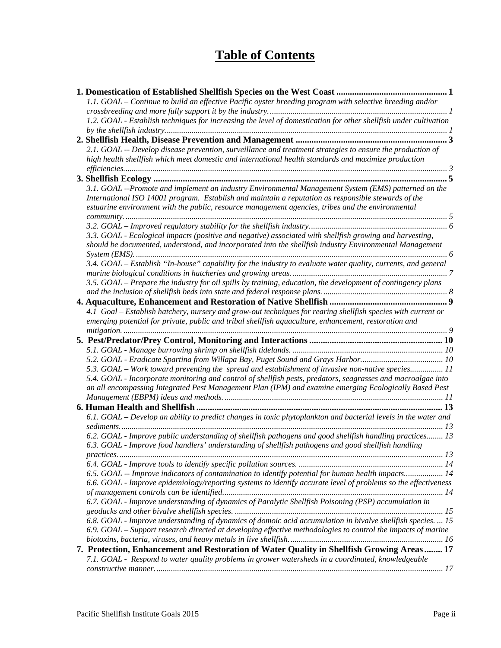# **Table of Contents**

| 1.1. GOAL – Continue to build an effective Pacific oyster breeding program with selective breeding and/or                                                                                        |
|--------------------------------------------------------------------------------------------------------------------------------------------------------------------------------------------------|
|                                                                                                                                                                                                  |
| 1.2. GOAL - Establish techniques for increasing the level of domestication for other shellfish under cultivation                                                                                 |
|                                                                                                                                                                                                  |
|                                                                                                                                                                                                  |
| 2.1. GOAL -- Develop disease prevention, surveillance and treatment strategies to ensure the production of                                                                                       |
| high health shellfish which meet domestic and international health standards and maximize production                                                                                             |
|                                                                                                                                                                                                  |
|                                                                                                                                                                                                  |
| 3.1. GOAL --Promote and implement an industry Environmental Management System (EMS) patterned on the                                                                                             |
| International ISO 14001 program. Establish and maintain a reputation as responsible stewards of the                                                                                              |
| estuarine environment with the public, resource management agencies, tribes and the environmental                                                                                                |
|                                                                                                                                                                                                  |
|                                                                                                                                                                                                  |
| 3.3. GOAL - Ecological impacts (positive and negative) associated with shellfish growing and harvesting,                                                                                         |
| should be documented, understood, and incorporated into the shellfish industry Environmental Management                                                                                          |
|                                                                                                                                                                                                  |
| 3.4. GOAL – Establish "In-house" capability for the industry to evaluate water quality, currents, and general                                                                                    |
|                                                                                                                                                                                                  |
| 3.5. GOAL – Prepare the industry for oil spills by training, education, the development of contingency plans                                                                                     |
|                                                                                                                                                                                                  |
|                                                                                                                                                                                                  |
| 4.1 Goal – Establish hatchery, nursery and grow-out techniques for rearing shellfish species with current or                                                                                     |
| emerging potential for private, public and tribal shellfish aquaculture, enhancement, restoration and                                                                                            |
|                                                                                                                                                                                                  |
|                                                                                                                                                                                                  |
|                                                                                                                                                                                                  |
|                                                                                                                                                                                                  |
|                                                                                                                                                                                                  |
| 5.3. GOAL – Work toward preventing the spread and establishment of invasive non-native species11                                                                                                 |
| 5.4. GOAL - Incorporate monitoring and control of shellfish pests, predators, seagrasses and macroalgae into                                                                                     |
| an all encompassing Integrated Pest Management Plan (IPM) and examine emerging Ecologically Based Pest                                                                                           |
|                                                                                                                                                                                                  |
|                                                                                                                                                                                                  |
| 6.1. GOAL – Develop an ability to predict changes in toxic phytoplankton and bacterial levels in the water and                                                                                   |
|                                                                                                                                                                                                  |
| 6.2. GOAL - Improve public understanding of shellfish pathogens and good shellfish handling practices 13                                                                                         |
| 6.3. GOAL - Improve food handlers' understanding of shellfish pathogens and good shellfish handling                                                                                              |
|                                                                                                                                                                                                  |
|                                                                                                                                                                                                  |
| 6.5. GOAL -- Improve indicators of contamination to identify potential for human health impacts 14                                                                                               |
| 6.6. GOAL - Improve epidemiology/reporting systems to identify accurate level of problems so the effectiveness                                                                                   |
|                                                                                                                                                                                                  |
| 6.7. GOAL - Improve understanding of dynamics of Paralytic Shellfish Poisoning (PSP) accumulation in                                                                                             |
|                                                                                                                                                                                                  |
| 6.8. GOAL - Improve understanding of dynamics of domoic acid accumulation in bivalve shellfish species.  15                                                                                      |
| 6.9. GOAL – Support research directed at developing effective methodologies to control the impacts of marine                                                                                     |
|                                                                                                                                                                                                  |
| 7. Protection, Enhancement and Restoration of Water Quality in Shellfish Growing Areas  17<br>7.1. GOAL - Respond to water quality problems in grower watersheds in a coordinated, knowledgeable |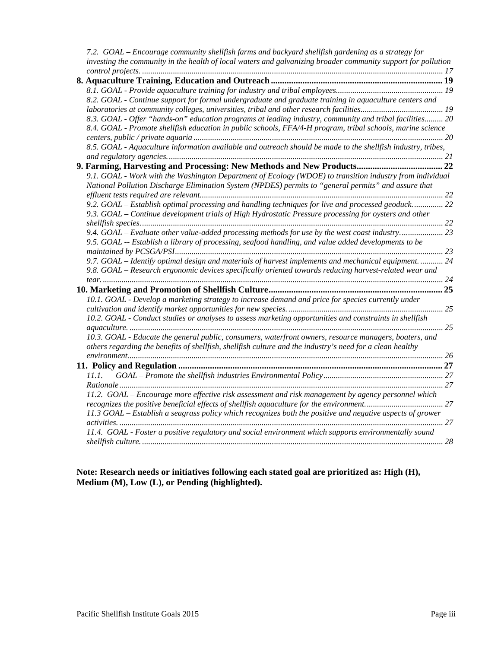|  | 7.2. GOAL – Encourage community shellfish farms and backyard shellfish gardening as a strategy for            |  |
|--|---------------------------------------------------------------------------------------------------------------|--|
|  | investing the community in the health of local waters and galvanizing broader community support for pollution |  |
|  |                                                                                                               |  |
|  |                                                                                                               |  |
|  |                                                                                                               |  |
|  | 8.2. GOAL - Continue support for formal undergraduate and graduate training in aquaculture centers and        |  |
|  |                                                                                                               |  |
|  | 8.3. GOAL - Offer "hands-on" education programs at leading industry, community and tribal facilities 20       |  |
|  | 8.4. GOAL - Promote shellfish education in public schools, FFA/4-H program, tribal schools, marine science    |  |
|  |                                                                                                               |  |
|  | 8.5. GOAL - Aquaculture information available and outreach should be made to the shellfish industry, tribes,  |  |
|  |                                                                                                               |  |
|  |                                                                                                               |  |
|  | 9.1. GOAL - Work with the Washington Department of Ecology (WDOE) to transition industry from individual      |  |
|  | National Pollution Discharge Elimination System (NPDES) permits to "general permits" and assure that          |  |
|  |                                                                                                               |  |
|  | 9.2. GOAL – Establish optimal processing and handling techniques for live and processed geoduck 22            |  |
|  | 9.3. GOAL – Continue development trials of High Hydrostatic Pressure processing for oysters and other         |  |
|  |                                                                                                               |  |
|  | 9.4. GOAL – Evaluate other value-added processing methods for use by the west coast industry 23               |  |
|  | 9.5. GOAL -- Establish a library of processing, seafood handling, and value added developments to be          |  |
|  |                                                                                                               |  |
|  | 9.7. GOAL – Identify optimal design and materials of harvest implements and mechanical equipment 24           |  |
|  |                                                                                                               |  |
|  | 9.8. GOAL - Research ergonomic devices specifically oriented towards reducing harvest-related wear and        |  |
|  |                                                                                                               |  |
|  |                                                                                                               |  |
|  | 10.1. GOAL - Develop a marketing strategy to increase demand and price for species currently under            |  |
|  |                                                                                                               |  |
|  | 10.2. GOAL - Conduct studies or analyses to assess marketing opportunities and constraints in shellfish       |  |
|  |                                                                                                               |  |
|  | 10.3. GOAL - Educate the general public, consumers, waterfront owners, resource managers, boaters, and        |  |
|  | others regarding the benefits of shellfish, shellfish culture and the industry's need for a clean healthy     |  |
|  |                                                                                                               |  |
|  |                                                                                                               |  |
|  | 11.1.                                                                                                         |  |
|  |                                                                                                               |  |
|  | 11.2. GOAL - Encourage more effective risk assessment and risk management by agency personnel which           |  |
|  |                                                                                                               |  |
|  | 11.3 GOAL – Establish a seagrass policy which recognizes both the positive and negative aspects of grower     |  |
|  |                                                                                                               |  |
|  | 11.4. GOAL - Foster a positive regulatory and social environment which supports environmentally sound         |  |
|  |                                                                                                               |  |
|  |                                                                                                               |  |

**Note: Research needs or initiatives following each stated goal are prioritized as: High (H), Medium (M), Low (L), or Pending (highlighted).**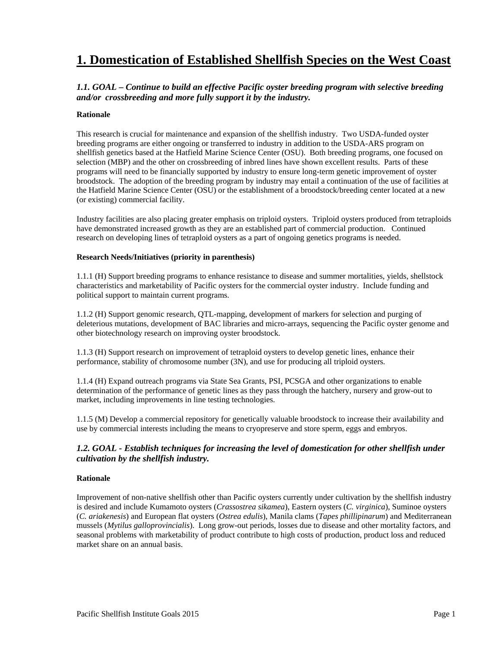# <span id="page-4-0"></span>**1. Domestication of Established Shellfish Species on the West Coast**

# *1.1. GOAL – Continue to build an effective Pacific oyster breeding program with selective breeding and/or crossbreeding and more fully support it by the industry.*

### **Rationale**

This research is crucial for maintenance and expansion of the shellfish industry. Two USDA-funded oyster breeding programs are either ongoing or transferred to industry in addition to the USDA-ARS program on shellfish genetics based at the Hatfield Marine Science Center (OSU). Both breeding programs, one focused on selection (MBP) and the other on crossbreeding of inbred lines have shown excellent results. Parts of these programs will need to be financially supported by industry to ensure long-term genetic improvement of oyster broodstock. The adoption of the breeding program by industry may entail a continuation of the use of facilities at the Hatfield Marine Science Center (OSU) or the establishment of a broodstock/breeding center located at a new (or existing) commercial facility.

Industry facilities are also placing greater emphasis on triploid oysters. Triploid oysters produced from tetraploids have demonstrated increased growth as they are an established part of commercial production. Continued research on developing lines of tetraploid oysters as a part of ongoing genetics programs is needed.

### **Research Needs/Initiatives (priority in parenthesis)**

1.1.1 (H) Support breeding programs to enhance resistance to disease and summer mortalities, yields, shellstock characteristics and marketability of Pacific oysters for the commercial oyster industry. Include funding and political support to maintain current programs.

1.1.2 (H) Support genomic research, QTL-mapping, development of markers for selection and purging of deleterious mutations, development of BAC libraries and micro-arrays, sequencing the Pacific oyster genome and other biotechnology research on improving oyster broodstock.

1.1.3 (H) Support research on improvement of tetraploid oysters to develop genetic lines, enhance their performance, stability of chromosome number (3N), and use for producing all triploid oysters.

1.1.4 (H) Expand outreach programs via State Sea Grants, PSI, PCSGA and other organizations to enable determination of the performance of genetic lines as they pass through the hatchery, nursery and grow-out to market, including improvements in line testing technologies.

1.1.5 (M) Develop a commercial repository for genetically valuable broodstock to increase their availability and use by commercial interests including the means to cryopreserve and store sperm, eggs and embryos.

# *1.2. GOAL - Establish techniques for increasing the level of domestication for other shellfish under cultivation by the shellfish industry.*

### **Rationale**

Improvement of non-native shellfish other than Pacific oysters currently under cultivation by the shellfish industry is desired and include Kumamoto oysters (*Crassostrea sikamea*), Eastern oysters (*C. virginica*), Suminoe oysters (*C. ariakenesis*) and European flat oysters (*Ostrea edulis*), Manila clams (*Tapes phillipinarum*) and Mediterranean mussels (*Mytilus galloprovincialis*). Long grow-out periods, losses due to disease and other mortality factors, and seasonal problems with marketability of product contribute to high costs of production, product loss and reduced market share on an annual basis.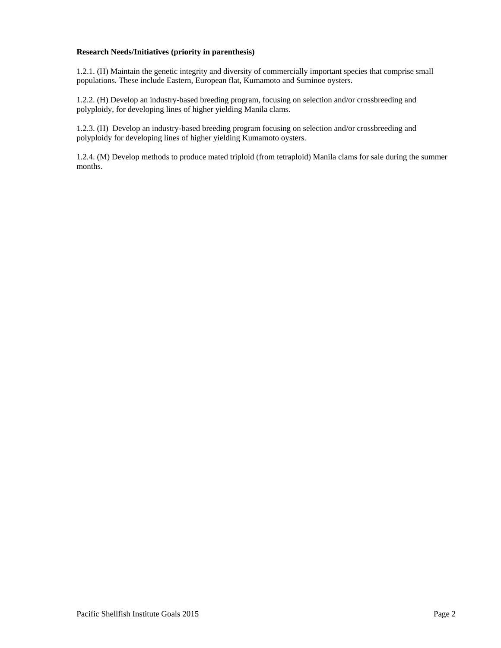### **Research Needs/Initiatives (priority in parenthesis)**

1.2.1. (H) Maintain the genetic integrity and diversity of commercially important species that comprise small populations. These include Eastern, European flat, Kumamoto and Suminoe oysters.

1.2.2. (H) Develop an industry-based breeding program, focusing on selection and/or crossbreeding and polyploidy, for developing lines of higher yielding Manila clams.

1.2.3. (H) Develop an industry-based breeding program focusing on selection and/or crossbreeding and polyploidy for developing lines of higher yielding Kumamoto oysters.

1.2.4. (M) Develop methods to produce mated triploid (from tetraploid) Manila clams for sale during the summer months.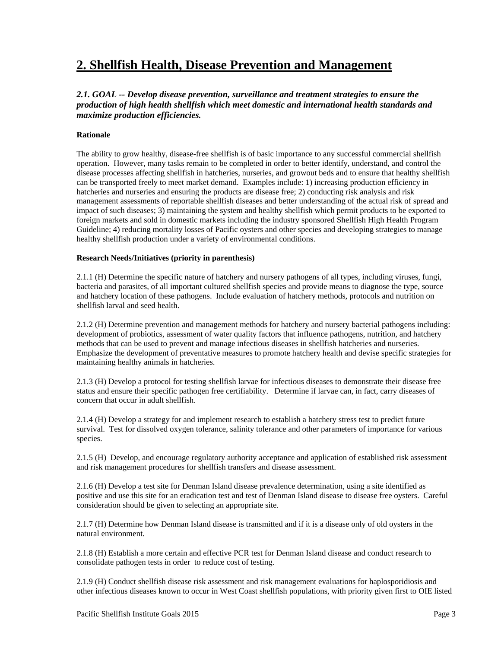# <span id="page-6-0"></span>**2. Shellfish Health, Disease Prevention and Management**

*2.1. GOAL -- Develop disease prevention, surveillance and treatment strategies to ensure the production of high health shellfish which meet domestic and international health standards and maximize production efficiencies.* 

### **Rationale**

The ability to grow healthy, disease-free shellfish is of basic importance to any successful commercial shellfish operation. However, many tasks remain to be completed in order to better identify, understand, and control the disease processes affecting shellfish in hatcheries, nurseries, and growout beds and to ensure that healthy shellfish can be transported freely to meet market demand. Examples include: 1) increasing production efficiency in hatcheries and nurseries and ensuring the products are disease free; 2) conducting risk analysis and risk management assessments of reportable shellfish diseases and better understanding of the actual risk of spread and impact of such diseases; 3) maintaining the system and healthy shellfish which permit products to be exported to foreign markets and sold in domestic markets including the industry sponsored Shellfish High Health Program Guideline; 4) reducing mortality losses of Pacific oysters and other species and developing strategies to manage healthy shellfish production under a variety of environmental conditions.

### **Research Needs/Initiatives (priority in parenthesis)**

2.1.1 (H) Determine the specific nature of hatchery and nursery pathogens of all types, including viruses, fungi, bacteria and parasites, of all important cultured shellfish species and provide means to diagnose the type, source and hatchery location of these pathogens. Include evaluation of hatchery methods, protocols and nutrition on shellfish larval and seed health.

2.1.2 (H) Determine prevention and management methods for hatchery and nursery bacterial pathogens including: development of probiotics, assessment of water quality factors that influence pathogens, nutrition, and hatchery methods that can be used to prevent and manage infectious diseases in shellfish hatcheries and nurseries. Emphasize the development of preventative measures to promote hatchery health and devise specific strategies for maintaining healthy animals in hatcheries.

2.1.3 (H) Develop a protocol for testing shellfish larvae for infectious diseases to demonstrate their disease free status and ensure their specific pathogen free certifiability. Determine if larvae can, in fact, carry diseases of concern that occur in adult shellfish.

2.1.4 (H) Develop a strategy for and implement research to establish a hatchery stress test to predict future survival. Test for dissolved oxygen tolerance, salinity tolerance and other parameters of importance for various species.

2.1.5 (H) Develop, and encourage regulatory authority acceptance and application of established risk assessment and risk management procedures for shellfish transfers and disease assessment.

2.1.6 (H) Develop a test site for Denman Island disease prevalence determination, using a site identified as positive and use this site for an eradication test and test of Denman Island disease to disease free oysters. Careful consideration should be given to selecting an appropriate site.

2.1.7 (H) Determine how Denman Island disease is transmitted and if it is a disease only of old oysters in the natural environment.

2.1.8 (H) Establish a more certain and effective PCR test for Denman Island disease and conduct research to consolidate pathogen tests in order to reduce cost of testing.

2.1.9 (H) Conduct shellfish disease risk assessment and risk management evaluations for haplosporidiosis and other infectious diseases known to occur in West Coast shellfish populations, with priority given first to OIE listed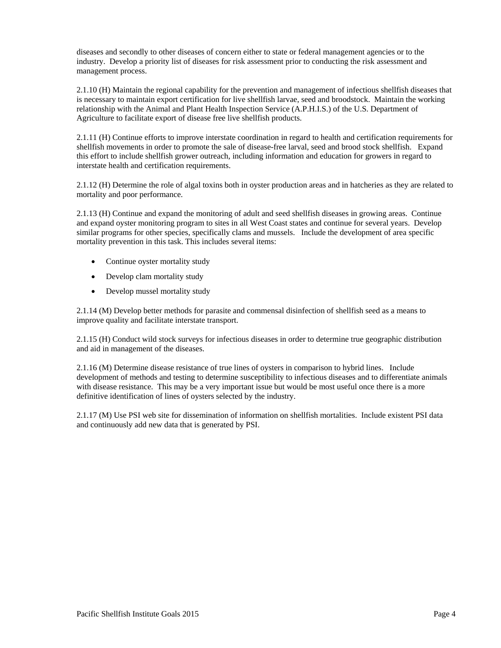diseases and secondly to other diseases of concern either to state or federal management agencies or to the industry. Develop a priority list of diseases for risk assessment prior to conducting the risk assessment and management process.

2.1.10 (H) Maintain the regional capability for the prevention and management of infectious shellfish diseases that is necessary to maintain export certification for live shellfish larvae, seed and broodstock. Maintain the working relationship with the Animal and Plant Health Inspection Service (A.P.H.I.S.) of the U.S. Department of Agriculture to facilitate export of disease free live shellfish products.

2.1.11 (H) Continue efforts to improve interstate coordination in regard to health and certification requirements for shellfish movements in order to promote the sale of disease-free larval, seed and brood stock shellfish. Expand this effort to include shellfish grower outreach, including information and education for growers in regard to interstate health and certification requirements.

2.1.12 (H) Determine the role of algal toxins both in oyster production areas and in hatcheries as they are related to mortality and poor performance.

2.1.13 (H) Continue and expand the monitoring of adult and seed shellfish diseases in growing areas. Continue and expand oyster monitoring program to sites in all West Coast states and continue for several years. Develop similar programs for other species, specifically clams and mussels. Include the development of area specific mortality prevention in this task. This includes several items:

- Continue oyster mortality study
- Develop clam mortality study
- Develop mussel mortality study

2.1.14 (M) Develop better methods for parasite and commensal disinfection of shellfish seed as a means to improve quality and facilitate interstate transport.

2.1.15 (H) Conduct wild stock surveys for infectious diseases in order to determine true geographic distribution and aid in management of the diseases.

2.1.16 (M) Determine disease resistance of true lines of oysters in comparison to hybrid lines. Include development of methods and testing to determine susceptibility to infectious diseases and to differentiate animals with disease resistance. This may be a very important issue but would be most useful once there is a more definitive identification of lines of oysters selected by the industry.

2.1.17 (M) Use PSI web site for dissemination of information on shellfish mortalities. Include existent PSI data and continuously add new data that is generated by PSI.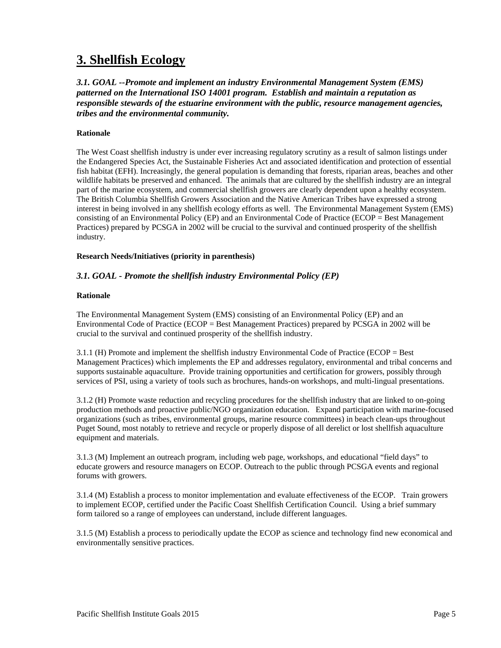# <span id="page-8-0"></span>**3. Shellfish Ecology**

*3.1. GOAL --Promote and implement an industry Environmental Management System (EMS) patterned on the International ISO 14001 program. Establish and maintain a reputation as responsible stewards of the estuarine environment with the public, resource management agencies, tribes and the environmental community.* 

### **Rationale**

The West Coast shellfish industry is under ever increasing regulatory scrutiny as a result of salmon listings under the Endangered Species Act, the Sustainable Fisheries Act and associated identification and protection of essential fish habitat (EFH). Increasingly, the general population is demanding that forests, riparian areas, beaches and other wildlife habitats be preserved and enhanced. The animals that are cultured by the shellfish industry are an integral part of the marine ecosystem, and commercial shellfish growers are clearly dependent upon a healthy ecosystem. The British Columbia Shellfish Growers Association and the Native American Tribes have expressed a strong interest in being involved in any shellfish ecology efforts as well. The Environmental Management System (EMS) consisting of an Environmental Policy (EP) and an Environmental Code of Practice (ECOP = Best Management Practices) prepared by PCSGA in 2002 will be crucial to the survival and continued prosperity of the shellfish industry.

### **Research Needs/Initiatives (priority in parenthesis)**

# *3.1. GOAL - Promote the shellfish industry Environmental Policy (EP)*

### **Rationale**

The Environmental Management System (EMS) consisting of an Environmental Policy (EP) and an Environmental Code of Practice (ECOP = Best Management Practices) prepared by PCSGA in 2002 will be crucial to the survival and continued prosperity of the shellfish industry.

3.1.1 (H) Promote and implement the shellfish industry Environmental Code of Practice (ECOP = Best Management Practices) which implements the EP and addresses regulatory, environmental and tribal concerns and supports sustainable aquaculture. Provide training opportunities and certification for growers, possibly through services of PSI, using a variety of tools such as brochures, hands-on workshops, and multi-lingual presentations.

3.1.2 (H) Promote waste reduction and recycling procedures for the shellfish industry that are linked to on-going production methods and proactive public/NGO organization education. Expand participation with marine-focused organizations (such as tribes, environmental groups, marine resource committees) in beach clean-ups throughout Puget Sound, most notably to retrieve and recycle or properly dispose of all derelict or lost shellfish aquaculture equipment and materials.

3.1.3 (M) Implement an outreach program, including web page, workshops, and educational "field days" to educate growers and resource managers on ECOP. Outreach to the public through PCSGA events and regional forums with growers.

3.1.4 (M) Establish a process to monitor implementation and evaluate effectiveness of the ECOP. Train growers to implement ECOP, certified under the Pacific Coast Shellfish Certification Council. Using a brief summary form tailored so a range of employees can understand, include different languages.

3.1.5 (M) Establish a process to periodically update the ECOP as science and technology find new economical and environmentally sensitive practices.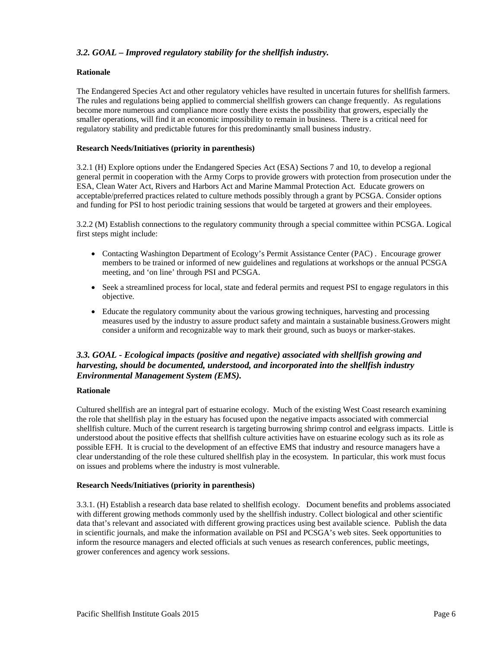# <span id="page-9-0"></span>*3.2. GOAL – Improved regulatory stability for the shellfish industry.*

# **Rationale**

The Endangered Species Act and other regulatory vehicles have resulted in uncertain futures for shellfish farmers. The rules and regulations being applied to commercial shellfish growers can change frequently. As regulations become more numerous and compliance more costly there exists the possibility that growers, especially the smaller operations, will find it an economic impossibility to remain in business. There is a critical need for regulatory stability and predictable futures for this predominantly small business industry.

# **Research Needs/Initiatives (priority in parenthesis)**

3.2.1 (H) Explore options under the Endangered Species Act (ESA) Sections 7 and 10, to develop a regional general permit in cooperation with the Army Corps to provide growers with protection from prosecution under the ESA, Clean Water Act, Rivers and Harbors Act and Marine Mammal Protection Act. Educate growers on acceptable/preferred practices related to culture methods possibly through a grant by PCSGA. Consider options and funding for PSI to host periodic training sessions that would be targeted at growers and their employees.

3.2.2 (M) Establish connections to the regulatory community through a special committee within PCSGA. Logical first steps might include:

- Contacting Washington Department of Ecology's Permit Assistance Center (PAC) . Encourage grower members to be trained or informed of new guidelines and regulations at workshops or the annual PCSGA meeting, and 'on line' through PSI and PCSGA.
- Seek a streamlined process for local, state and federal permits and request PSI to engage regulators in this objective.
- Educate the regulatory community about the various growing techniques, harvesting and processing measures used by the industry to assure product safety and maintain a sustainable business.Growers might consider a uniform and recognizable way to mark their ground, such as buoys or marker-stakes.

# *3.3. GOAL - Ecological impacts (positive and negative) associated with shellfish growing and harvesting, should be documented, understood, and incorporated into the shellfish industry Environmental Management System (EMS).*

### **Rationale**

Cultured shellfish are an integral part of estuarine ecology. Much of the existing West Coast research examining the role that shellfish play in the estuary has focused upon the negative impacts associated with commercial shellfish culture. Much of the current research is targeting burrowing shrimp control and eelgrass impacts. Little is understood about the positive effects that shellfish culture activities have on estuarine ecology such as its role as possible EFH. It is crucial to the development of an effective EMS that industry and resource managers have a clear understanding of the role these cultured shellfish play in the ecosystem. In particular, this work must focus on issues and problems where the industry is most vulnerable.

### **Research Needs/Initiatives (priority in parenthesis)**

3.3.1. (H) Establish a research data base related to shellfish ecology. Document benefits and problems associated with different growing methods commonly used by the shellfish industry. Collect biological and other scientific data that's relevant and associated with different growing practices using best available science. Publish the data in scientific journals, and make the information available on PSI and PCSGA's web sites. Seek opportunities to inform the resource managers and elected officials at such venues as research conferences, public meetings, grower conferences and agency work sessions.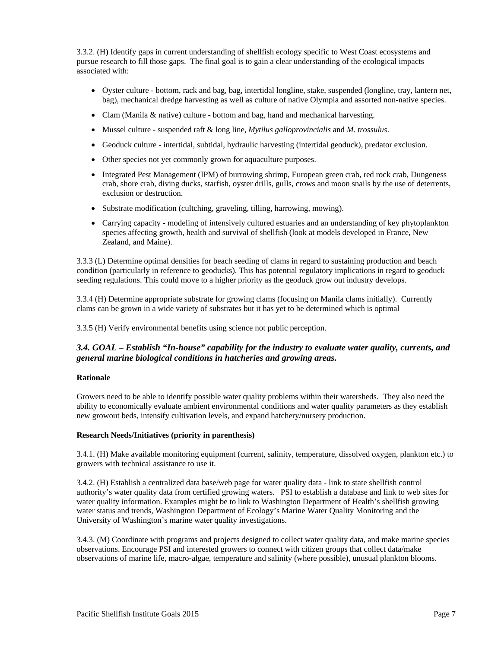<span id="page-10-0"></span>3.3.2. (H) Identify gaps in current understanding of shellfish ecology specific to West Coast ecosystems and pursue research to fill those gaps. The final goal is to gain a clear understanding of the ecological impacts associated with:

- Oyster culture bottom, rack and bag, bag, intertidal longline, stake, suspended (longline, tray, lantern net, bag), mechanical dredge harvesting as well as culture of native Olympia and assorted non-native species.
- Clam (Manila & native) culture bottom and bag, hand and mechanical harvesting.
- Mussel culture suspended raft & long line, *Mytilus galloprovincialis* and *M. trossulus*.
- Geoduck culture intertidal, subtidal, hydraulic harvesting (intertidal geoduck), predator exclusion.
- Other species not yet commonly grown for aquaculture purposes.
- Integrated Pest Management (IPM) of burrowing shrimp, European green crab, red rock crab, Dungeness crab, shore crab, diving ducks, starfish, oyster drills, gulls, crows and moon snails by the use of deterrents, exclusion or destruction.
- Substrate modification (cultching, graveling, tilling, harrowing, mowing).
- Carrying capacity modeling of intensively cultured estuaries and an understanding of key phytoplankton species affecting growth, health and survival of shellfish (look at models developed in France, New Zealand, and Maine).

3.3.3 (L) Determine optimal densities for beach seeding of clams in regard to sustaining production and beach condition (particularly in reference to geoducks). This has potential regulatory implications in regard to geoduck seeding regulations. This could move to a higher priority as the geoduck grow out industry develops.

3.3.4 (H) Determine appropriate substrate for growing clams (focusing on Manila clams initially). Currently clams can be grown in a wide variety of substrates but it has yet to be determined which is optimal

3.3.5 (H) Verify environmental benefits using science not public perception.

# *3.4. GOAL – Establish "In-house" capability for the industry to evaluate water quality, currents, and general marine biological conditions in hatcheries and growing areas.*

# **Rationale**

Growers need to be able to identify possible water quality problems within their watersheds. They also need the ability to economically evaluate ambient environmental conditions and water quality parameters as they establish new growout beds, intensify cultivation levels, and expand hatchery/nursery production.

### **Research Needs/Initiatives (priority in parenthesis)**

3.4.1. (H) Make available monitoring equipment (current, salinity, temperature, dissolved oxygen, plankton etc.) to growers with technical assistance to use it.

3.4.2. (H) Establish a centralized data base/web page for water quality data - link to state shellfish control authority's water quality data from certified growing waters. PSI to establish a database and link to web sites for water quality information. Examples might be to link to Washington Department of Health's shellfish growing water status and trends, Washington Department of Ecology's Marine Water Quality Monitoring and the University of Washington's marine water quality investigations.

3.4.3. (M) Coordinate with programs and projects designed to collect water quality data, and make marine species observations. Encourage PSI and interested growers to connect with citizen groups that collect data/make observations of marine life, macro-algae, temperature and salinity (where possible), unusual plankton blooms.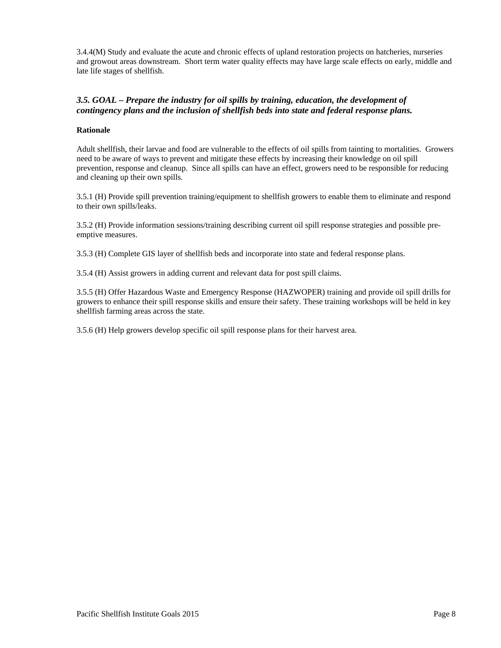<span id="page-11-0"></span>3.4.4(M) Study and evaluate the acute and chronic effects of upland restoration projects on hatcheries, nurseries and growout areas downstream. Short term water quality effects may have large scale effects on early, middle and late life stages of shellfish.

# *3.5. GOAL – Prepare the industry for oil spills by training, education, the development of contingency plans and the inclusion of shellfish beds into state and federal response plans.*

### **Rationale**

Adult shellfish, their larvae and food are vulnerable to the effects of oil spills from tainting to mortalities. Growers need to be aware of ways to prevent and mitigate these effects by increasing their knowledge on oil spill prevention, response and cleanup. Since all spills can have an effect, growers need to be responsible for reducing and cleaning up their own spills.

3.5.1 (H) Provide spill prevention training/equipment to shellfish growers to enable them to eliminate and respond to their own spills/leaks.

3.5.2 (H) Provide information sessions/training describing current oil spill response strategies and possible [pre](http://www.pacshell.org/Oilinfo.htm)[emptive measures.](http://www.pacshell.org/Oilinfo.htm)

3.5.3 (H) Complete GIS layer of shellfish beds and incorporate into state and federal response plans.

3.5.4 (H) Assist growers in adding current and relevant data for post spill claims.

3.5.5 (H) Offer Hazardous Waste and Emergency Response (HAZWOPER) training and provide oil spill drills for growers to enhance their spill response skills and ensure their safety. These training workshops will be held in key shellfish farming areas across the state.

3.5.6 (H) Help growers develop specific oil spill response plans for their harvest area.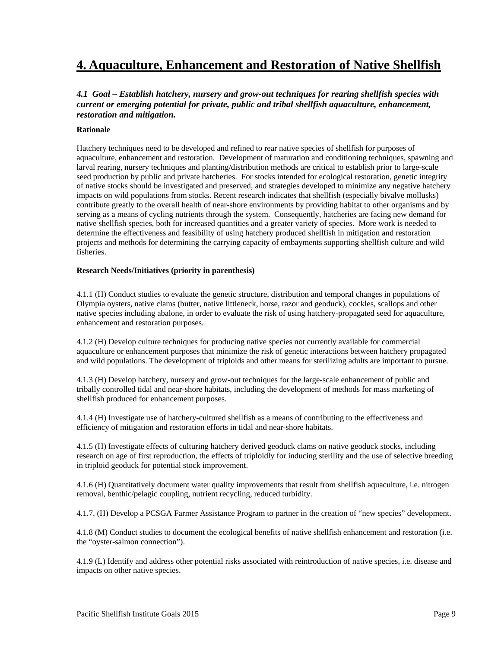# <span id="page-12-0"></span>**4. Aquaculture, Enhancement and Restoration of Native Shellfish**

# *4.1 Goal – Establish hatchery, nursery and grow-out techniques for rearing shellfish species with current or emerging potential for private, public and tribal shellfish aquaculture, enhancement, restoration and mitigation.*

### **Rationale**

Hatchery techniques need to be developed and refined to rear native species of shellfish for purposes of aquaculture, enhancement and restoration. Development of maturation and conditioning techniques, spawning and larval rearing, nursery techniques and planting/distribution methods are critical to establish prior to large-scale seed production by public and private hatcheries. For stocks intended for ecological restoration, genetic integrity of native stocks should be investigated and preserved, and strategies developed to minimize any negative hatchery impacts on wild populations from stocks. Recent research indicates that shellfish (especially bivalve mollusks) contribute greatly to the overall health of near-shore environments by providing habitat to other organisms and by serving as a means of cycling nutrients through the system. Consequently, hatcheries are facing new demand for native shellfish species, both for increased quantities and a greater variety of species. More work is needed to determine the effectiveness and feasibility of using hatchery produced shellfish in mitigation and restoration projects and methods for determining the carrying capacity of embayments supporting shellfish culture and wild fisheries.

### **Research Needs/Initiatives (priority in parenthesis)**

4.1.1 (H) Conduct studies to evaluate the genetic structure, distribution and temporal changes in populations of Olympia oysters, native clams (butter, native littleneck, horse, razor and geoduck), cockles, scallops and other native species including abalone, in order to evaluate the risk of using hatchery-propagated seed for aquaculture, enhancement and restoration purposes.

4.1.2 (H) Develop culture techniques for producing native species not currently available for commercial aquaculture or enhancement purposes that minimize the risk of genetic interactions between hatchery propagated and wild populations. The development of triploids and other means for sterilizing adults are important to pursue.

4.1.3 (H) Develop hatchery, nursery and grow-out techniques for the large-scale enhancement of public and tribally controlled tidal and near-shore habitats, including the development of methods for mass marketing of shellfish produced for enhancement purposes.

4.1.4 (H) Investigate use of hatchery-cultured shellfish as a means of contributing to the effectiveness and efficiency of mitigation and restoration efforts in tidal and near-shore habitats.

4.1.5 (H) Investigate effects of culturing hatchery derived geoduck clams on native geoduck stocks, including research on age of first reproduction, the effects of triploidly for inducing sterility and the use of selective breeding in triploid geoduck for potential stock improvement.

4.1.6 (H) Quantitatively document water quality improvements that result from shellfish aquaculture, i.e. nitrogen removal, benthic/pelagic coupling, nutrient recycling, reduced turbidity.

4.1.7. (H) Develop a PCSGA Farmer Assistance Program to partner in the creation of "new species" development.

4.1.8 (M) Conduct studies to document the ecological benefits of native shellfish enhancement and restoration (i.e. the "oyster-salmon connection").

4.1.9 (L) Identify and address other potential risks associated with reintroduction of native species, i.e. disease and impacts on other native species.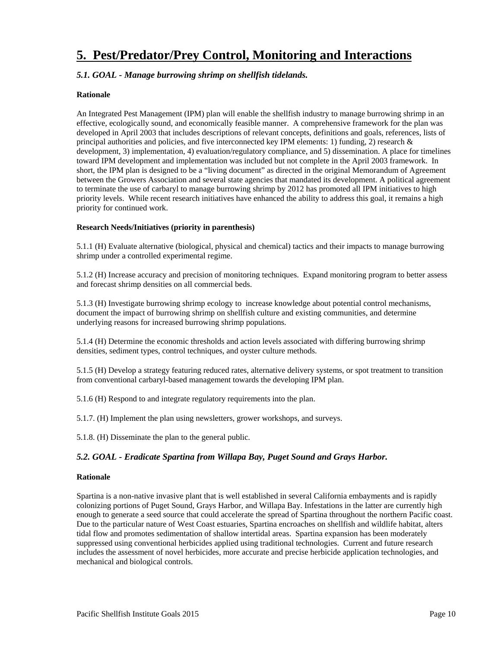# <span id="page-13-0"></span>**5. Pest/Predator/Prey Control, Monitoring and Interactions**

# *5.1. GOAL - Manage burrowing shrimp on shellfish tidelands.*

### **Rationale**

An Integrated Pest Management (IPM) plan will enable the shellfish industry to manage burrowing shrimp in an effective, ecologically sound, and economically feasible manner. A comprehensive framework for the plan was developed in April 2003 that includes descriptions of relevant concepts, definitions and goals, references, lists of principal authorities and policies, and five interconnected key IPM elements: 1) funding, 2) research  $\&$ development, 3) implementation, 4) evaluation/regulatory compliance, and 5) dissemination. A place for timelines toward IPM development and implementation was included but not complete in the April 2003 framework. In short, the IPM plan is designed to be a "living document" as directed in the original Memorandum of Agreement between the Growers Association and several state agencies that mandated its development. A political agreement to terminate the use of carbaryl to manage burrowing shrimp by 2012 has promoted all IPM initiatives to high priority levels. While recent research initiatives have enhanced the ability to address this goal, it remains a high priority for continued work.

# **Research Needs/Initiatives (priority in parenthesis)**

5.1.1 (H) Evaluate alternative (biological, physical and chemical) tactics and their impacts to manage burrowing shrimp under a controlled experimental regime.

5.1.2 (H) Increase accuracy and precision of monitoring techniques. Expand monitoring program to better assess and forecast shrimp densities on all commercial beds.

5.1.3 (H) Investigate burrowing shrimp ecology to increase knowledge about potential control mechanisms, document the impact of burrowing shrimp on shellfish culture and existing communities, and determine underlying reasons for increased burrowing shrimp populations.

5.1.4 (H) Determine the economic thresholds and action levels associated with differing burrowing shrimp densities, sediment types, control techniques, and oyster culture methods.

5.1.5 (H) Develop a strategy featuring reduced rates, alternative delivery systems, or spot treatment to transition from conventional carbaryl-based management towards the developing IPM plan.

5.1.6 (H) Respond to and integrate regulatory requirements into the plan.

5.1.7. (H) Implement the plan using newsletters, grower workshops, and surveys.

5.1.8. (H) Disseminate the plan to the general public.

# *5.2. GOAL - Eradicate Spartina from Willapa Bay, Puget Sound and Grays Harbor.*

### **Rationale**

Spartina is a non-native invasive plant that is well established in several California embayments and is rapidly colonizing portions of Puget Sound, Grays Harbor, and Willapa Bay. Infestations in the latter are currently high enough to generate a seed source that could accelerate the spread of Spartina throughout the northern Pacific coast. Due to the particular nature of West Coast estuaries, Spartina encroaches on shellfish and wildlife habitat, alters tidal flow and promotes sedimentation of shallow intertidal areas. Spartina expansion has been moderately suppressed using conventional herbicides applied using traditional technologies. Current and future research includes the assessment of novel herbicides, more accurate and precise herbicide application technologies, and mechanical and biological controls.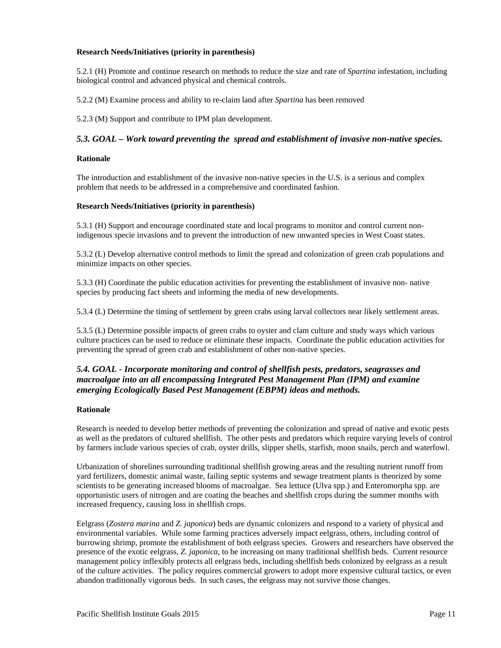### <span id="page-14-0"></span>**Research Needs/Initiatives (priority in parenthesis)**

5.2.1 (H) Promote and continue research on methods to reduce the size and rate of *Spartina* infestation, including biological control and advanced physical and chemical controls.

5.2.2 (M) Examine process and ability to re-claim land after *Spartina* has been removed

5.2.3 (M) Support and contribute to IPM plan development.

### *5.3. GOAL – Work toward preventing the spread and establishment of invasive non-native species.*

### **Rationale**

The introduction and establishment of the invasive non-native species in the U.S. is a serious and complex problem that needs to be addressed in a comprehensive and coordinated fashion.

### **Research Needs/Initiatives (priority in parenthesis)**

5.3.1 (H) Support and encourage coordinated state and local programs to monitor and control current nonindigenous specie invasions and to prevent the introduction of new unwanted species in West Coast states.

5.3.2 (L) Develop alternative control methods to limit the spread and colonization of green crab populations and minimize impacts on other species.

5.3.3 (H) Coordinate the public education activities for preventing the establishment of invasive non- native species by producing fact sheets and informing the media of new developments.

5.3.4 (L) Determine the timing of settlement by green crabs using larval collectors near likely settlement areas.

5.3.5 (L) Determine possible impacts of green crabs to oyster and clam culture and study ways which various culture practices can be used to reduce or eliminate these impacts. Coordinate the public education activities for preventing the spread of green crab and establishment of other non-native species.

# *5.4. GOAL - Incorporate monitoring and control of shellfish pests, predators, seagrasses and macroalgae into an all encompassing Integrated Pest Management Plan (IPM) and examine emerging Ecologically Based Pest Management (EBPM) ideas and methods.*

### **Rationale**

Research is needed to develop better methods of preventing the colonization and spread of native and exotic pests as well as the predators of cultured shellfish. The other pests and predators which require varying levels of control by farmers include various species of crab, oyster drills, slipper shells, starfish, moon snails, perch and waterfowl.

Urbanization of shorelines surrounding traditional shellfish growing areas and the resulting nutrient runoff from yard fertilizers, domestic animal waste, failing septic systems and sewage treatment plants is theorized by some scientists to be generating increased blooms of macroalgae. Sea lettuce (Ulva spp.) and Enteromorpha spp. are opportunistic users of nitrogen and are coating the beaches and shellfish crops during the summer months with increased frequency, causing loss in shellfish crops.

Eelgrass (*Zostera marina* and *Z. japonica*) beds are dynamic colonizers and respond to a variety of physical and environmental variables. While some farming practices adversely impact eelgrass, others, including control of burrowing shrimp, promote the establishment of both eelgrass species. Growers and researchers have observed the presence of the exotic eelgrass, *Z. japonica*, to be increasing on many traditional shellfish beds. Current resource management policy inflexibly protects all eelgrass beds, including shellfish beds colonized by eelgrass as a result of the culture activities. The policy requires commercial growers to adopt more expensive cultural tactics, or even abandon traditionally vigorous beds. In such cases, the eelgrass may not survive those changes.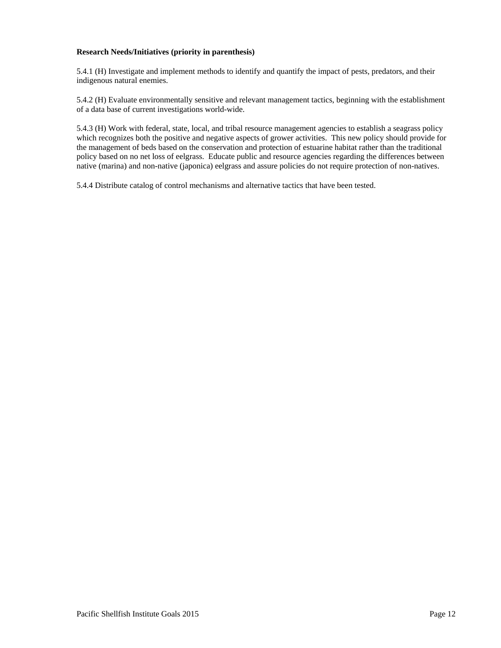### **Research Needs/Initiatives (priority in parenthesis)**

5.4.1 (H) Investigate and implement methods to identify and quantify the impact of pests, predators, and their indigenous natural enemies.

5.4.2 (H) Evaluate environmentally sensitive and relevant management tactics, beginning with the establishment of a data base of current investigations world-wide.

5.4.3 (H) Work with federal, state, local, and tribal resource management agencies to establish a seagrass policy which recognizes both the positive and negative aspects of grower activities. This new policy should provide for the management of beds based on the conservation and protection of estuarine habitat rather than the traditional policy based on no net loss of eelgrass. Educate public and resource agencies regarding the differences between native (marina) and non-native (japonica) eelgrass and assure policies do not require protection of non-natives.

5.4.4 Distribute catalog of control mechanisms and alternative tactics that have been tested.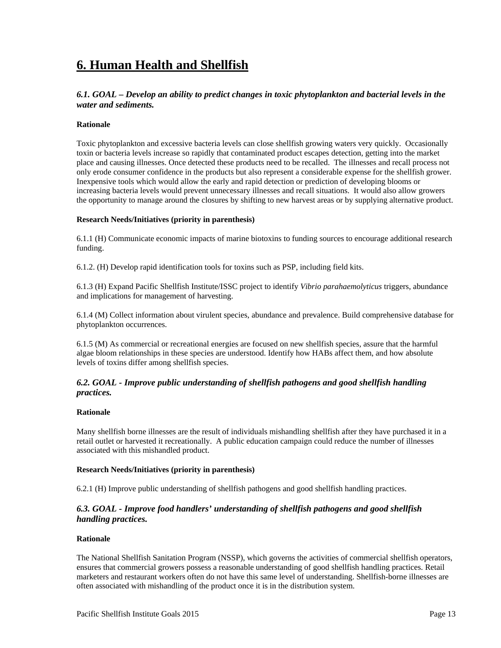# <span id="page-16-0"></span>**6. Human Health and Shellfish**

# *6.1. GOAL – Develop an ability to predict changes in toxic phytoplankton and bacterial levels in the water and sediments.*

### **Rationale**

Toxic phytoplankton and excessive bacteria levels can close shellfish growing waters very quickly. Occasionally toxin or bacteria levels increase so rapidly that contaminated product escapes detection, getting into the market place and causing illnesses. Once detected these products need to be recalled. The illnesses and recall process not only erode consumer confidence in the products but also represent a considerable expense for the shellfish grower. Inexpensive tools which would allow the early and rapid detection or prediction of developing blooms or increasing bacteria levels would prevent unnecessary illnesses and recall situations. It would also allow growers the opportunity to manage around the closures by shifting to new harvest areas or by supplying alternative product.

### **Research Needs/Initiatives (priority in parenthesis)**

6.1.1 (H) Communicate economic impacts of marine biotoxins to funding sources to encourage additional research funding.

6.1.2. (H) Develop rapid identification tools for toxins such as PSP, including field kits.

6.1.3 (H) Expand Pacific Shellfish Institute/ISSC project to identify *Vibrio parahaemolyticus* triggers, abundance and implications for management of harvesting.

6.1.4 (M) Collect information about virulent species, abundance and prevalence. Build comprehensive database for phytoplankton occurrences.

6.1.5 (M) As commercial or recreational energies are focused on new shellfish species, assure that the harmful algae bloom relationships in these species are understood. Identify how HABs affect them, and how absolute levels of toxins differ among shellfish species.

# *6.2. GOAL - Improve public understanding of shellfish pathogens and good shellfish handling practices.*

#### **Rationale**

Many shellfish borne illnesses are the result of individuals mishandling shellfish after they have purchased it in a retail outlet or harvested it recreationally. A public education campaign could reduce the number of illnesses associated with this mishandled product.

### **Research Needs/Initiatives (priority in parenthesis)**

6.2.1 (H) Improve public understanding of shellfish pathogens and good shellfish handling practices.

# *6.3. GOAL - Improve food handlers' understanding of shellfish pathogens and good shellfish handling practices.*

#### **Rationale**

The National Shellfish Sanitation Program (NSSP), which governs the activities of commercial shellfish operators, ensures that commercial growers possess a reasonable understanding of good shellfish handling practices. Retail marketers and restaurant workers often do not have this same level of understanding. Shellfish-borne illnesses are often associated with mishandling of the product once it is in the distribution system.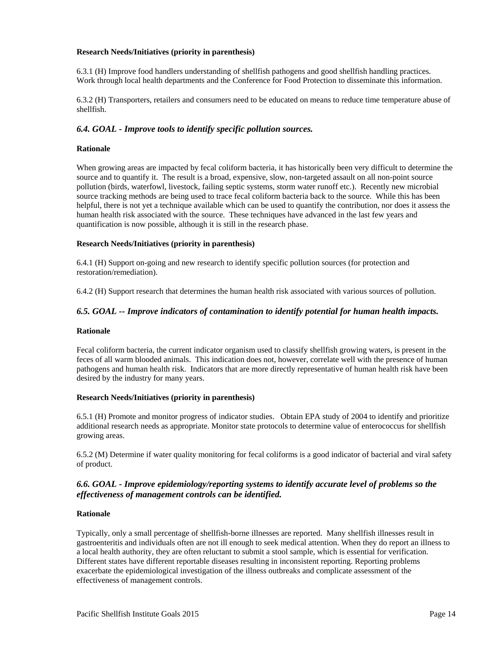### <span id="page-17-0"></span>**Research Needs/Initiatives (priority in parenthesis)**

6.3.1 (H) Improve food handlers understanding of shellfish pathogens and good shellfish handling practices. Work through local health departments and the Conference for Food Protection to disseminate this information.

6.3.2 (H) Transporters, retailers and consumers need to be educated on means to reduce time temperature abuse of shellfish.

# *6.4. GOAL - Improve tools to identify specific pollution sources.*

### **Rationale**

When growing areas are impacted by fecal coliform bacteria, it has historically been very difficult to determine the source and to quantify it. The result is a broad, expensive, slow, non-targeted assault on all non-point source pollution (birds, waterfowl, livestock, failing septic systems, storm water runoff etc.). Recently new microbial source tracking methods are being used to trace fecal coliform bacteria back to the source. While this has been helpful, there is not yet a technique available which can be used to quantify the contribution, nor does it assess the human health risk associated with the source. These techniques have advanced in the last few years and quantification is now possible, although it is still in the research phase.

# **Research Needs/Initiatives (priority in parenthesis)**

6.4.1 (H) Support on-going and new research to identify specific pollution sources (for protection and restoration/remediation).

6.4.2 (H) Support research that determines the human health risk associated with various sources of pollution.

# *6.5. GOAL -- Improve indicators of contamination to identify potential for human health impacts.*

### **Rationale**

Fecal coliform bacteria, the current indicator organism used to classify shellfish growing waters, is present in the feces of all warm blooded animals. This indication does not, however, correlate well with the presence of human pathogens and human health risk. Indicators that are more directly representative of human health risk have been desired by the industry for many years.

### **Research Needs/Initiatives (priority in parenthesis)**

6.5.1 (H) Promote and monitor progress of indicator studies. Obtain EPA study of 2004 to identify and prioritize additional research needs as appropriate. Monitor state protocols to determine value of enterococcus for shellfish growing areas.

6.5.2 (M) Determine if water quality monitoring for fecal coliforms is a good indicator of bacterial and viral safety of product.

# *6.6. GOAL - Improve epidemiology/reporting systems to identify accurate level of problems so the effectiveness of management controls can be identified.*

### **Rationale**

Typically, only a small percentage of shellfish-borne illnesses are reported. Many shellfish illnesses result in gastroenteritis and individuals often are not ill enough to seek medical attention. When they do report an illness to a local health authority, they are often reluctant to submit a stool sample, which is essential for verification. Different states have different reportable diseases resulting in inconsistent reporting. Reporting problems exacerbate the epidemiological investigation of the illness outbreaks and complicate assessment of the effectiveness of management controls.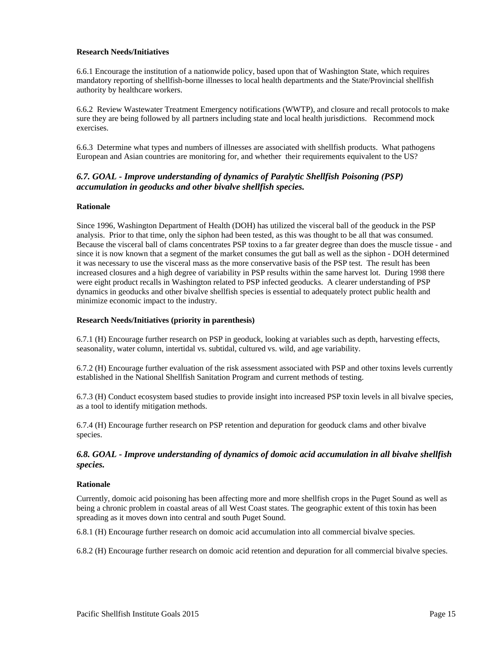### <span id="page-18-0"></span>**Research Needs/Initiatives**

6.6.1 Encourage the institution of a nationwide policy, based upon that of Washington State, which requires mandatory reporting of shellfish-borne illnesses to local health departments and the State/Provincial shellfish authority by healthcare workers.

6.6.2 Review Wastewater Treatment Emergency notifications (WWTP), and closure and recall protocols to make sure they are being followed by all partners including state and local health jurisdictions. Recommend mock exercises.

6.6.3 Determine what types and numbers of illnesses are associated with shellfish products. What pathogens European and Asian countries are monitoring for, and whether their requirements equivalent to the US?

# *6.7. GOAL - Improve understanding of dynamics of Paralytic Shellfish Poisoning (PSP) accumulation in geoducks and other bivalve shellfish species.*

#### **Rationale**

Since 1996, Washington Department of Health (DOH) has utilized the visceral ball of the geoduck in the PSP analysis. Prior to that time, only the siphon had been tested, as this was thought to be all that was consumed. Because the visceral ball of clams concentrates PSP toxins to a far greater degree than does the muscle tissue - and since it is now known that a segment of the market consumes the gut ball as well as the siphon - DOH determined it was necessary to use the visceral mass as the more conservative basis of the PSP test. The result has been increased closures and a high degree of variability in PSP results within the same harvest lot. During 1998 there were eight product recalls in Washington related to PSP infected geoducks. A clearer understanding of PSP dynamics in geoducks and other bivalve shellfish species is essential to adequately protect public health and minimize economic impact to the industry.

### **Research Needs/Initiatives (priority in parenthesis)**

6.7.1 (H) Encourage further research on PSP in geoduck, looking at variables such as depth, harvesting effects, seasonality, water column, intertidal vs. subtidal, cultured vs. wild, and age variability.

6.7.2 (H) Encourage further evaluation of the risk assessment associated with PSP and other toxins levels currently established in the National Shellfish Sanitation Program and current methods of testing.

6.7.3 (H) Conduct ecosystem based studies to provide insight into increased PSP toxin levels in all bivalve species, as a tool to identify mitigation methods.

6.7.4 (H) Encourage further research on PSP retention and depuration for geoduck clams and other bivalve species.

# *6.8. GOAL - Improve understanding of dynamics of domoic acid accumulation in all bivalve shellfish species.*

#### **Rationale**

Currently, domoic acid poisoning has been affecting more and more shellfish crops in the Puget Sound as well as being a chronic problem in coastal areas of all West Coast states. The geographic extent of this toxin has been spreading as it moves down into central and south Puget Sound.

6.8.1 (H) Encourage further research on domoic acid accumulation into all commercial bivalve species.

6.8.2 (H) Encourage further research on domoic acid retention and depuration for all commercial bivalve species.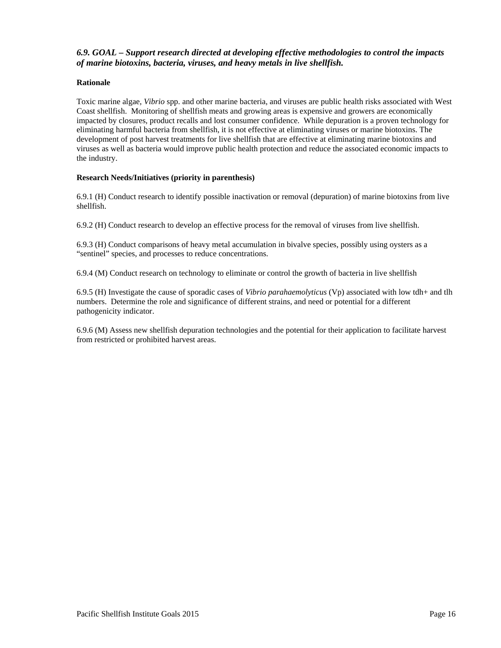# <span id="page-19-0"></span>*6.9. GOAL – Support research directed at developing effective methodologies to control the impacts of marine biotoxins, bacteria, viruses, and heavy metals in live shellfish.*

### **Rationale**

Toxic marine algae, *Vibrio* spp. and other marine bacteria, and viruses are public health risks associated with West Coast shellfish. Monitoring of shellfish meats and growing areas is expensive and growers are economically impacted by closures, product recalls and lost consumer confidence. While depuration is a proven technology for eliminating harmful bacteria from shellfish, it is not effective at eliminating viruses or marine biotoxins. The development of post harvest treatments for live shellfish that are effective at eliminating marine biotoxins and viruses as well as bacteria would improve public health protection and reduce the associated economic impacts to the industry.

# **Research Needs/Initiatives (priority in parenthesis)**

6.9.1 (H) Conduct research to identify possible inactivation or removal (depuration) of marine biotoxins from live shellfish.

6.9.2 (H) Conduct research to develop an effective process for the removal of viruses from live shellfish.

6.9.3 (H) Conduct comparisons of heavy metal accumulation in bivalve species, possibly using oysters as a "sentinel" species, and processes to reduce concentrations.

6.9.4 (M) Conduct research on technology to eliminate or control the growth of bacteria in live shellfish

6.9.5 (H) Investigate the cause of sporadic cases of *Vibrio parahaemolyticus* (Vp) associated with low tdh+ and tlh numbers. Determine the role and significance of different strains, and need or potential for a different pathogenicity indicator.

6.9.6 (M) Assess new shellfish depuration technologies and the potential for their application to facilitate harvest from restricted or prohibited harvest areas.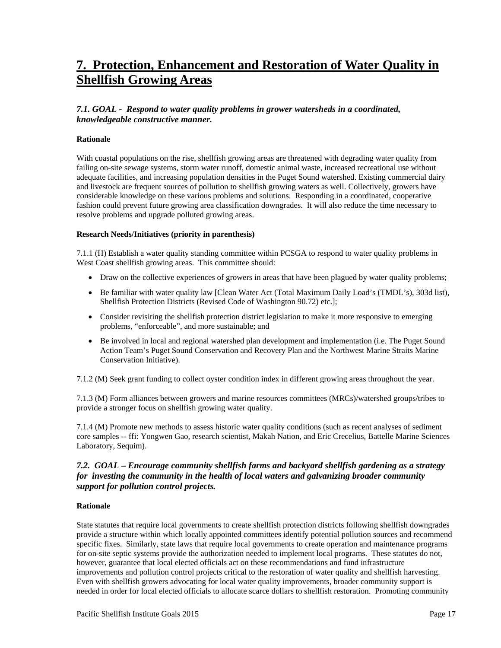# <span id="page-20-0"></span>**7. Protection, Enhancement and Restoration of Water Quality in Shellfish Growing Areas**

# *7.1. GOAL - Respond to water quality problems in grower watersheds in a coordinated, knowledgeable constructive manner.*

### **Rationale**

With coastal populations on the rise, shellfish growing areas are threatened with degrading water quality from failing on-site sewage systems, storm water runoff, domestic animal waste, increased recreational use without adequate facilities, and increasing population densities in the Puget Sound watershed. Existing commercial dairy and livestock are frequent sources of pollution to shellfish growing waters as well. Collectively, growers have considerable knowledge on these various problems and solutions. Responding in a coordinated, cooperative fashion could prevent future growing area classification downgrades. It will also reduce the time necessary to resolve problems and upgrade polluted growing areas.

### **Research Needs/Initiatives (priority in parenthesis)**

7.1.1 (H) Establish a water quality standing committee within PCSGA to respond to water quality problems in West Coast shellfish growing areas. This committee should:

- Draw on the collective experiences of growers in areas that have been plagued by water quality problems;
- Be familiar with water quality law [Clean Water Act (Total Maximum Daily Load's (TMDL's), 303d list), Shellfish Protection Districts (Revised Code of Washington 90.72) etc.];
- Consider revisiting the shellfish protection district legislation to make it more responsive to emerging problems, "enforceable", and more sustainable; and
- Be involved in local and regional watershed plan development and implementation (i.e. The Puget Sound Action Team's Puget Sound Conservation and Recovery Plan and the Northwest Marine Straits Marine Conservation Initiative).

7.1.2 (M) Seek grant funding to collect oyster condition index in different growing areas throughout the year.

7.1.3 (M) Form alliances between growers and marine resources committees (MRCs)/watershed groups/tribes to provide a stronger focus on shellfish growing water quality.

7.1.4 (M) Promote new methods to assess historic water quality conditions (such as recent analyses of sediment core samples -- ffi: Yongwen Gao, research scientist, Makah Nation, and Eric Crecelius, Battelle Marine Sciences Laboratory, Sequim).

# *7.2. GOAL – Encourage community shellfish farms and backyard shellfish gardening as a strategy for investing the community in the health of local waters and galvanizing broader community support for pollution control projects.*

#### **Rationale**

State statutes that require local governments to create shellfish protection districts following shellfish downgrades provide a structure within which locally appointed committees identify potential pollution sources and recommend specific fixes. Similarly, state laws that require local governments to create operation and maintenance programs for on-site septic systems provide the authorization needed to implement local programs. These statutes do not, however, guarantee that local elected officials act on these recommendations and fund infrastructure improvements and pollution control projects critical to the restoration of water quality and shellfish harvesting. Even with shellfish growers advocating for local water quality improvements, broader community support is needed in order for local elected officials to allocate scarce dollars to shellfish restoration. Promoting community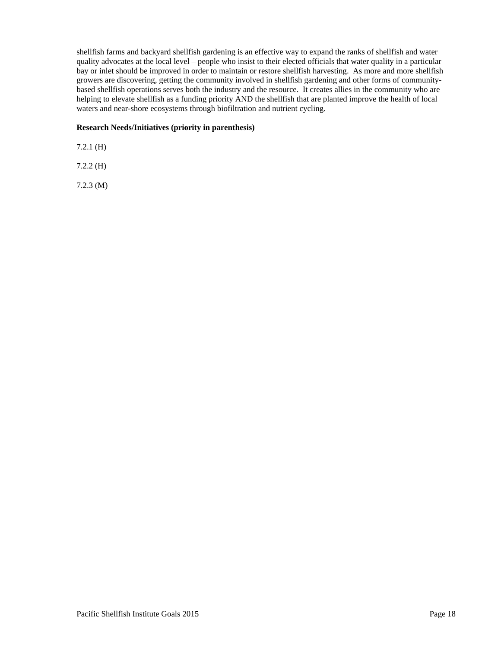shellfish farms and backyard shellfish gardening is an effective way to expand the ranks of shellfish and water quality advocates at the local level – people who insist to their elected officials that water quality in a particular bay or inlet should be improved in order to maintain or restore shellfish harvesting. As more and more shellfish growers are discovering, getting the community involved in shellfish gardening and other forms of communitybased shellfish operations serves both the industry and the resource. It creates allies in the community who are helping to elevate shellfish as a funding priority AND the shellfish that are planted improve the health of local waters and near-shore ecosystems through biofiltration and nutrient cycling.

### **Research Needs/Initiatives (priority in parenthesis)**

7.2.1 (H)

7.2.2 (H)

7.2.3 (M)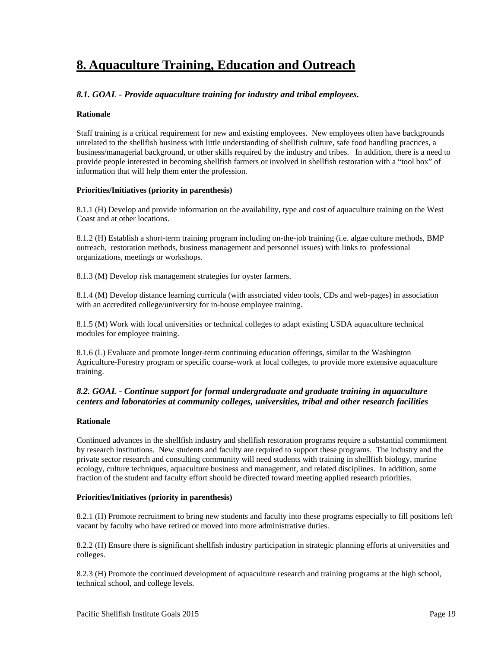# <span id="page-22-0"></span>**8. Aquaculture Training, Education and Outreach**

# *8.1. GOAL - Provide aquaculture training for industry and tribal employees.*

### **Rationale**

Staff training is a critical requirement for new and existing employees. New employees often have backgrounds unrelated to the shellfish business with little understanding of shellfish culture, safe food handling practices, a business/managerial background, or other skills required by the industry and tribes. In addition, there is a need to provide people interested in becoming shellfish farmers or involved in shellfish restoration with a "tool box" of information that will help them enter the profession.

### **Priorities/Initiatives (priority in parenthesis)**

8.1.1 (H) Develop and provide information on the availability, type and cost of aquaculture training on the West Coast and at other locations.

8.1.2 (H) Establish a short-term training program including on-the-job training (i.e. algae culture methods, BMP outreach, restoration methods, business management and personnel issues) with links to professional organizations, meetings or workshops.

8.1.3 (M) Develop risk management strategies for oyster farmers.

8.1.4 (M) Develop distance learning curricula (with associated video tools*,* CDs and web-pages) in association with an accredited college/university for in-house employee training.

8.1.5 (M) Work with local universities or technical colleges to adapt existing USDA aquaculture technical modules for employee training.

8.1.6 (L) Evaluate and promote longer-term continuing education offerings, similar to the Washington Agriculture-Forestry program or specific course-work at local colleges, to provide more extensive aquaculture training.

# *8.2. GOAL - Continue support for formal undergraduate and graduate training in aquaculture centers and laboratories at community colleges, universities, tribal and other research facilities*

### **Rationale**

Continued advances in the shellfish industry and shellfish restoration programs require a substantial commitment by research institutions. New students and faculty are required to support these programs. The industry and the private sector research and consulting community will need students with training in shellfish biology, marine ecology, culture techniques, aquaculture business and management, and related disciplines. In addition, some fraction of the student and faculty effort should be directed toward meeting applied research priorities.

### **Priorities/Initiatives (priority in parenthesis)**

8.2.1 (H) Promote recruitment to bring new students and faculty into these programs especially to fill positions left vacant by faculty who have retired or moved into more administrative duties.

8.2.2 (H) Ensure there is significant shellfish industry participation in strategic planning efforts at universities and colleges.

8.2.3 (H) Promote the continued development of aquaculture research and training programs at the high school, technical school, and college levels.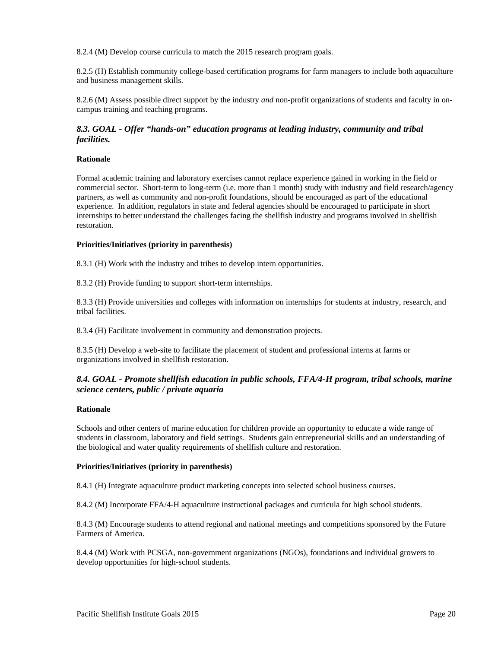<span id="page-23-0"></span>8.2.4 (M) Develop course curricula to match the 2015 research program goals.

8.2.5 (H) Establish community college-based certification programs for farm managers to include both aquaculture and business management skills.

8.2.6 (M) Assess possible direct support by the industry *and* non-profit organizations of students and faculty in oncampus training and teaching programs.

# *8.3. GOAL - Offer "hands-on" education programs at leading industry, community and tribal facilities.*

### **Rationale**

Formal academic training and laboratory exercises cannot replace experience gained in working in the field or commercial sector. Short-term to long-term (i.e. more than 1 month) study with industry and field research/agency partners, as well as community and non-profit foundations, should be encouraged as part of the educational experience. In addition, regulators in state and federal agencies should be encouraged to participate in short internships to better understand the challenges facing the shellfish industry and programs involved in shellfish restoration.

#### **Priorities/Initiatives (priority in parenthesis)**

8.3.1 (H) Work with the industry and tribes to develop intern opportunities.

8.3.2 (H) Provide funding to support short-term internships.

8.3.3 (H) Provide universities and colleges with information on internships for students at industry, research, and tribal facilities.

8.3.4 (H) Facilitate involvement in community and demonstration projects.

8.3.5 (H) Develop a web-site to facilitate the placement of student and professional interns at farms or organizations involved in shellfish restoration.

# *8.4. GOAL - Promote shellfish education in public schools, FFA/4-H program, tribal schools, marine science centers, public / private aquaria*

#### **Rationale**

Schools and other centers of marine education for children provide an opportunity to educate a wide range of students in classroom, laboratory and field settings. Students gain entrepreneurial skills and an understanding of the biological and water quality requirements of shellfish culture and restoration.

#### **Priorities/Initiatives (priority in parenthesis)**

8.4.1 (H) Integrate aquaculture product marketing concepts into selected school business courses.

8.4.2 (M) Incorporate FFA/4-H aquaculture instructional packages and curricula for high school students.

8.4.3 (M) Encourage students to attend regional and national meetings and competitions sponsored by the Future Farmers of America.

8.4.4 (M) Work with PCSGA, non-government organizations (NGOs), foundations and individual growers to develop opportunities for high-school students.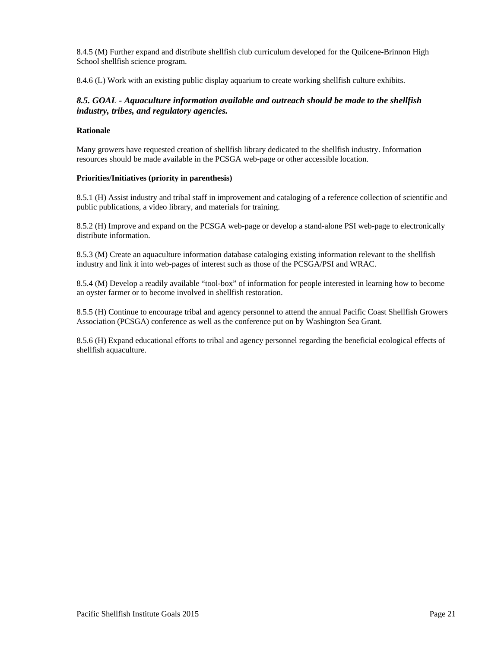<span id="page-24-0"></span>8.4.5 (M) Further expand and distribute shellfish club curriculum developed for the Quilcene-Brinnon High School shellfish science program.

8.4.6 (L) Work with an existing public display aquarium to create working shellfish culture exhibits.

# *8.5. GOAL - Aquaculture information available and outreach should be made to the shellfish industry, tribes, and regulatory agencies.*

# **Rationale**

Many growers have requested creation of shellfish library dedicated to the shellfish industry. Information resources should be made available in the PCSGA web-page or other accessible location.

### **Priorities/Initiatives (priority in parenthesis)**

8.5.1 (H) Assist industry and tribal staff in improvement and cataloging of a reference collection of scientific and public publications, a video library, and materials for training.

8.5.2 (H) Improve and expand on the PCSGA web-page or develop a stand-alone PSI web-page to electronically distribute information.

8.5.3 (M) Create an aquaculture information database cataloging existing information relevant to the shellfish industry and link it into web-pages of interest such as those of the PCSGA/PSI and WRAC.

8.5.4 (M) Develop a readily available "tool-box" of information for people interested in learning how to become an oyster farmer or to become involved in shellfish restoration.

8.5.5 (H) Continue to encourage tribal and agency personnel to attend the annual Pacific Coast Shellfish Growers Association (PCSGA) conference as well as the conference put on by Washington Sea Grant.

8.5.6 (H) Expand educational efforts to tribal and agency personnel regarding the beneficial ecological effects of shellfish aquaculture.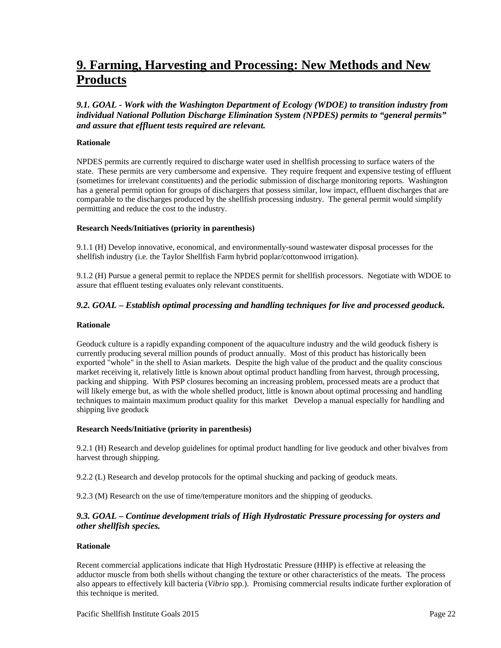# <span id="page-25-0"></span>**9. Farming, Harvesting and Processing: New Methods and New Products**

*9.1. GOAL - Work with the Washington Department of Ecology (WDOE) to transition industry from individual National Pollution Discharge Elimination System (NPDES) permits to "general permits" and assure that effluent tests required are relevant.* 

### **Rationale**

NPDES permits are currently required to discharge water used in shellfish processing to surface waters of the state. These permits are very cumbersome and expensive. They require frequent and expensive testing of effluent (sometimes for irrelevant constituents) and the periodic submission of discharge monitoring reports. Washington has a general permit option for groups of dischargers that possess similar, low impact, effluent discharges that are comparable to the discharges produced by the shellfish processing industry. The general permit would simplify permitting and reduce the cost to the industry.

### **Research Needs/Initiatives (priority in parenthesis)**

9.1.1 (H) Develop innovative, economical, and environmentally-sound wastewater disposal processes for the shellfish industry (i.e. the Taylor Shellfish Farm hybrid poplar/cottonwood irrigation).

9.1.2 (H) Pursue a general permit to replace the NPDES permit for shellfish processors. Negotiate with WDOE to assure that effluent testing evaluates only relevant constituents.

# *9.2. GOAL – Establish optimal processing and handling techniques for live and processed geoduck.*

#### **Rationale**

Geoduck culture is a rapidly expanding component of the aquaculture industry and the wild geoduck fishery is currently producing several million pounds of product annually. Most of this product has historically been exported "whole" in the shell to Asian markets. Despite the high value of the product and the quality conscious market receiving it, relatively little is known about optimal product handling from harvest, through processing, packing and shipping. With PSP closures becoming an increasing problem, processed meats are a product that will likely emerge but, as with the whole shelled product, little is known about optimal processing and handling techniques to maintain maximum product quality for this market Develop a manual especially for handling and shipping live geoduck

#### **Research Needs/Initiative (priority in parenthesis)**

9.2.1 (H) Research and develop guidelines for optimal product handling for live geoduck and other bivalves from harvest through shipping.

9.2.2 (L) Research and develop protocols for the optimal shucking and packing of geoduck meats.

9.2.3 (M) Research on the use of time/temperature monitors and the shipping of geoducks.

# *9.3. GOAL – Continue development trials of High Hydrostatic Pressure processing for oysters and other shellfish species.*

### **Rationale**

Recent commercial applications indicate that High Hydrostatic Pressure (HHP) is effective at releasing the adductor muscle from both shells without changing the texture or other characteristics of the meats. The process also appears to effectively kill bacteria (*Vibrio* spp.). Promising commercial results indicate further exploration of this technique is merited.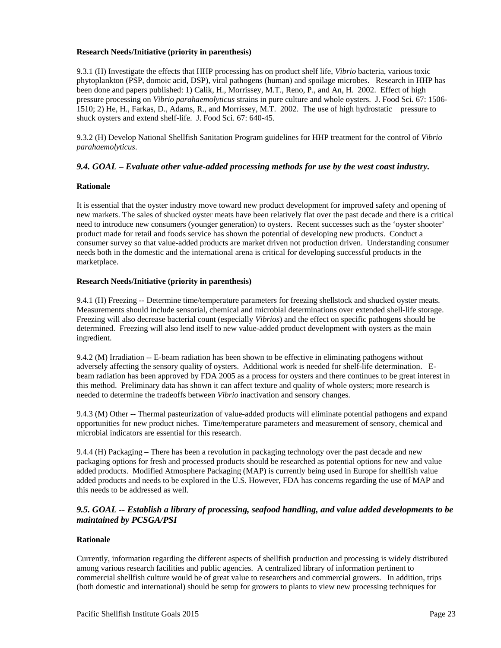### <span id="page-26-0"></span>**Research Needs/Initiative (priority in parenthesis)**

9.3.1 (H) Investigate the effects that HHP processing has on product shelf life, *Vibrio* bacteria, various toxic phytoplankton (PSP, domoic acid, DSP), viral pathogens (human) and spoilage microbes. Research in HHP has been done and papers published: 1) Calik, H., Morrissey, M.T., Reno, P., and An, H. 2002. Effect of high pressure processing on *Vibrio parahaemolyticus* strains in pure culture and whole oysters. J. Food Sci. 67: 1506- 1510; 2) He, H., Farkas, D., Adams, R., and Morrissey, M.T. 2002. The use of high hydrostatic pressure to shuck oysters and extend shelf-life. J. Food Sci. 67: 640-45.

9.3.2 (H) Develop National Shellfish Sanitation Program guidelines for HHP treatment for the control of *Vibrio parahaemolyticus*.

### *9.4. GOAL – Evaluate other value-added processing methods for use by the west coast industry.*

### **Rationale**

It is essential that the oyster industry move toward new product development for improved safety and opening of new markets. The sales of shucked oyster meats have been relatively flat over the past decade and there is a critical need to introduce new consumers (younger generation) to oysters. Recent successes such as the 'oyster shooter' product made for retail and foods service has shown the potential of developing new products. Conduct a consumer survey so that value-added products are market driven not production driven. Understanding consumer needs both in the domestic and the international arena is critical for developing successful products in the marketplace.

### **Research Needs/Initiative (priority in parenthesis)**

9.4.1 (H) Freezing -- Determine time/temperature parameters for freezing shellstock and shucked oyster meats. Measurements should include sensorial, chemical and microbial determinations over extended shell-life storage. Freezing will also decrease bacterial count (especially *Vibrios*) and the effect on specific pathogens should be determined. Freezing will also lend itself to new value-added product development with oysters as the main ingredient.

9.4.2 (M) Irradiation -- E-beam radiation has been shown to be effective in eliminating pathogens without adversely affecting the sensory quality of oysters. Additional work is needed for shelf-life determination. Ebeam radiation has been approved by FDA 2005 as a process for oysters and there continues to be great interest in this method. Preliminary data has shown it can affect texture and quality of whole oysters; more research is needed to determine the tradeoffs between *Vibrio* inactivation and sensory changes.

9.4.3 (M) Other -- Thermal pasteurization of value-added products will eliminate potential pathogens and expand opportunities for new product niches. Time/temperature parameters and measurement of sensory, chemical and microbial indicators are essential for this research.

9.4.4 (H) Packaging – There has been a revolution in packaging technology over the past decade and new packaging options for fresh and processed products should be researched as potential options for new and value added products. Modified Atmosphere Packaging (MAP) is currently being used in Europe for shellfish value added products and needs to be explored in the U.S. However, FDA has concerns regarding the use of MAP and this needs to be addressed as well.

# *9.5. GOAL -- Establish a library of processing, seafood handling, and value added developments to be maintained by PCSGA/PSI*

### **Rationale**

Currently, information regarding the different aspects of shellfish production and processing is widely distributed among various research facilities and public agencies. A centralized library of information pertinent to commercial shellfish culture would be of great value to researchers and commercial growers. In addition, trips (both domestic and international) should be setup for growers to plants to view new processing techniques for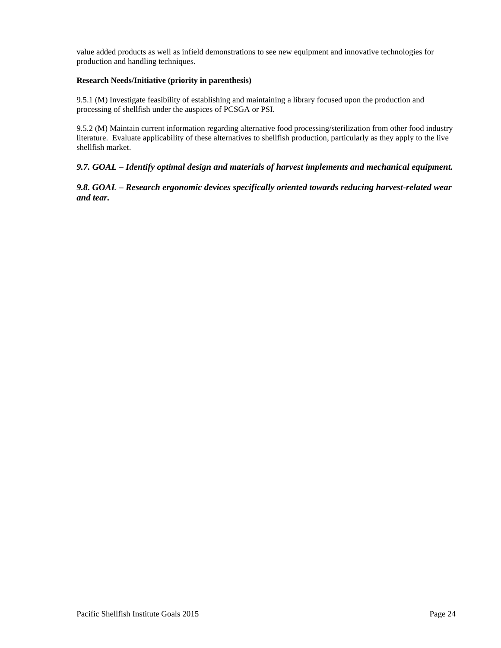<span id="page-27-0"></span>value added products as well as infield demonstrations to see new equipment and innovative technologies for production and handling techniques.

# **Research Needs/Initiative (priority in parenthesis)**

9.5.1 (M) Investigate feasibility of establishing and maintaining a library focused upon the production and processing of shellfish under the auspices of PCSGA or PSI.

9.5.2 (M) Maintain current information regarding alternative food processing/sterilization from other food industry literature. Evaluate applicability of these alternatives to shellfish production, particularly as they apply to the live shellfish market.

# *9.7. GOAL – Identify optimal design and materials of harvest implements and mechanical equipment.*

*9.8. GOAL – Research ergonomic devices specifically oriented towards reducing harvest-related wear and tear.*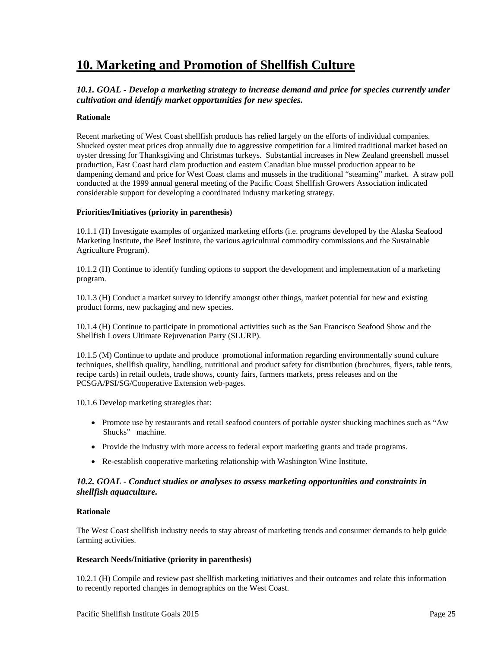# <span id="page-28-0"></span>**10. Marketing and Promotion of Shellfish Culture**

# *10.1. GOAL - Develop a marketing strategy to increase demand and price for species currently under cultivation and identify market opportunities for new species.*

### **Rationale**

Recent marketing of West Coast shellfish products has relied largely on the efforts of individual companies. Shucked oyster meat prices drop annually due to aggressive competition for a limited traditional market based on oyster dressing for Thanksgiving and Christmas turkeys. Substantial increases in New Zealand greenshell mussel production, East Coast hard clam production and eastern Canadian blue mussel production appear to be dampening demand and price for West Coast clams and mussels in the traditional "steaming" market. A straw poll conducted at the 1999 annual general meeting of the Pacific Coast Shellfish Growers Association indicated considerable support for developing a coordinated industry marketing strategy.

### **Priorities/Initiatives (priority in parenthesis)**

10.1.1 (H) Investigate examples of organized marketing efforts (i.e. programs developed by the Alaska Seafood Marketing Institute, the Beef Institute, the various agricultural commodity commissions and the Sustainable Agriculture Program).

10.1.2 (H) Continue to identify funding options to support the development and implementation of a marketing program.

10.1.3 (H) Conduct a market survey to identify amongst other things, market potential for new and existing product forms, new packaging and new species.

10.1.4 (H) Continue to participate in promotional activities such as the San Francisco Seafood Show and the Shellfish Lovers Ultimate Rejuvenation Party (SLURP).

10.1.5 (M) Continue to update and produce promotional information regarding environmentally sound culture techniques, shellfish quality, handling, nutritional and product safety for distribution (brochures, flyers, table tents, recipe cards) in retail outlets, trade shows, county fairs, farmers markets, press releases and on the PCSGA/PSI/SG/Cooperative Extension web-pages.

10.1.6 Develop marketing strategies that:

- Promote use by restaurants and retail seafood counters of portable oyster shucking machines such as "Aw Shucks" machine.
- Provide the industry with more access to federal export marketing grants and trade programs.
- Re-establish cooperative marketing relationship with Washington Wine Institute.

# *10.2. GOAL - Conduct studies or analyses to assess marketing opportunities and constraints in shellfish aquaculture.*

### **Rationale**

The West Coast shellfish industry needs to stay abreast of marketing trends and consumer demands to help guide farming activities.

### **Research Needs/Initiative (priority in parenthesis)**

10.2.1 (H) Compile and review past shellfish marketing initiatives and their outcomes and relate this information to recently reported changes in demographics on the West Coast.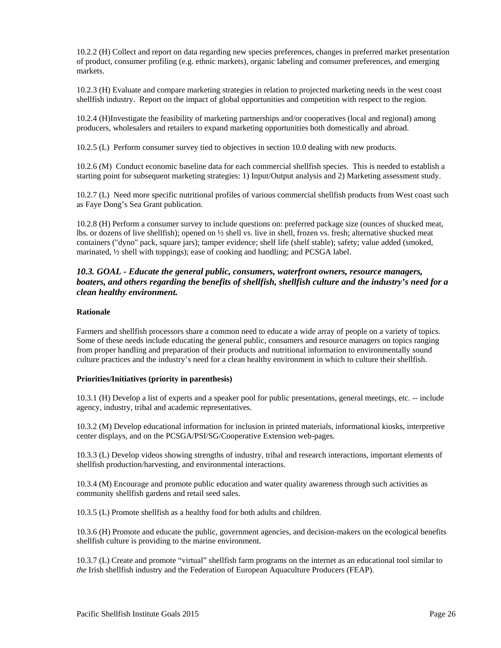<span id="page-29-0"></span>10.2.2 (H) Collect and report on data regarding new species preferences, changes in preferred market presentation of product, consumer profiling (e.g. ethnic markets), organic labeling and consumer preferences, and emerging markets.

10.2.3 (H) Evaluate and compare marketing strategies in relation to projected marketing needs in the west coast shellfish industry. Report on the impact of global opportunities and competition with respect to the region.

10.2.4 (H)Investigate the feasibility of marketing partnerships and/or cooperatives (local and regional) among producers, wholesalers and retailers to expand marketing opportunities both domestically and abroad.

10.2.5 (L) Perform consumer survey tied to objectives in section 10.0 dealing with new products.

10.2.6 (M) Conduct economic baseline data for each commercial shellfish species. This is needed to establish a starting point for subsequent marketing strategies: 1) Input/Output analysis and 2) Marketing assessment study.

10.2.7 (L) Need more specific nutritional profiles of various commercial shellfish products from West coast such as Faye Dong's Sea Grant publication.

10.2.8 (H) Perform a consumer survey to include questions on: preferred package size (ounces of shucked meat, lbs. or dozens of live shellfish); opened on ½ shell vs. live in shell, frozen vs. fresh; alternative shucked meat containers ("dyno" pack, square jars); tamper evidence; shelf life (shelf stable); safety; value added (smoked, marinated, ½ shell with toppings); ease of cooking and handling; and PCSGA label.

# *10.3. GOAL - Educate the general public, consumers, waterfront owners, resource managers, boaters, and others regarding the benefits of shellfish, shellfish culture and the industry's need for a clean healthy environment.*

### **Rationale**

Farmers and shellfish processors share a common need to educate a wide array of people on a variety of topics. Some of these needs include educating the general public, consumers and resource managers on topics ranging from proper handling and preparation of their products and nutritional information to environmentally sound culture practices and the industry's need for a clean healthy environment in which to culture their shellfish.

#### **Priorities/Initiatives (priority in parenthesis)**

10.3.1 (H) Develop a list of experts and a speaker pool for public presentations, general meetings, etc. -- include agency, industry, tribal and academic representatives.

10.3.2 (M) Develop educational information for inclusion in printed materials, informational kiosks, interpretive center displays, and on the PCSGA/PSI/SG/Cooperative Extension web-pages.

10.3.3 (L) Develop videos showing strengths of industry, tribal and research interactions, important elements of shellfish production/harvesting, and environmental interactions.

10.3.4 (M) Encourage and promote public education and water quality awareness through such activities as community shellfish gardens and retail seed sales.

10.3.5 (L) Promote shellfish as a healthy food for both adults and children.

10.3.6 (H) Promote and educate the public, government agencies, and decision-makers on the ecological benefits shellfish culture is providing to the marine environment.

10.3.7 (L) Create and promote "virtual" shellfish farm programs on the internet as an educational tool similar to *the* Irish shellfish industry and the Federation of European Aquaculture Producers (FEAP).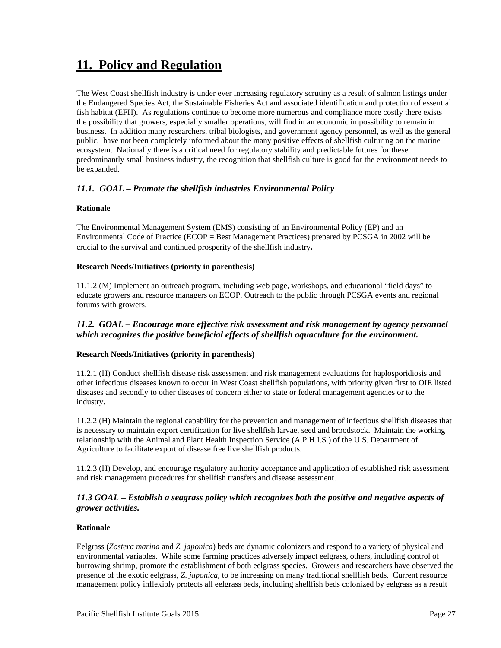# <span id="page-30-0"></span>**11. Policy and Regulation**

The West Coast shellfish industry is under ever increasing regulatory scrutiny as a result of salmon listings under the Endangered Species Act, the Sustainable Fisheries Act and associated identification and protection of essential fish habitat (EFH). As regulations continue to become more numerous and compliance more costly there exists the possibility that growers, especially smaller operations, will find in an economic impossibility to remain in business. In addition many researchers, tribal biologists, and government agency personnel, as well as the general public, have not been completely informed about the many positive effects of shellfish culturing on the marine ecosystem. Nationally there is a critical need for regulatory stability and predictable futures for these predominantly small business industry, the recognition that shellfish culture is good for the environment needs to be expanded.

# *11.1. GOAL – Promote the shellfish industries Environmental Policy*

# **Rationale**

The Environmental Management System (EMS) consisting of an Environmental Policy (EP) and an Environmental Code of Practice (ECOP = Best Management Practices) prepared by PCSGA in 2002 will be crucial to the survival and continued prosperity of the shellfish industry*.* 

# **Research Needs/Initiatives (priority in parenthesis)**

11.1.2 (M) Implement an outreach program, including web page, workshops, and educational "field days" to educate growers and resource managers on ECOP. Outreach to the public through PCSGA events and regional forums with growers.

# *11.2. GOAL – Encourage more effective risk assessment and risk management by agency personnel which recognizes the positive beneficial effects of shellfish aquaculture for the environment.*

### **Research Needs/Initiatives (priority in parenthesis)**

11.2.1 (H) Conduct shellfish disease risk assessment and risk management evaluations for haplosporidiosis and other infectious diseases known to occur in West Coast shellfish populations, with priority given first to OIE listed diseases and secondly to other diseases of concern either to state or federal management agencies or to the industry.

11.2.2 (H) Maintain the regional capability for the prevention and management of infectious shellfish diseases that is necessary to maintain export certification for live shellfish larvae, seed and broodstock. Maintain the working relationship with the Animal and Plant Health Inspection Service (A.P.H.I.S.) of the U.S. Department of Agriculture to facilitate export of disease free live shellfish products.

11.2.3 (H) Develop, and encourage regulatory authority acceptance and application of established risk assessment and risk management procedures for shellfish transfers and disease assessment.

# *11.3 GOAL – Establish a seagrass policy which recognizes both the positive and negative aspects of grower activities.*

### **Rationale**

Eelgrass (*Zostera marina* and *Z. japonica*) beds are dynamic colonizers and respond to a variety of physical and environmental variables. While some farming practices adversely impact eelgrass, others, including control of burrowing shrimp, promote the establishment of both eelgrass species. Growers and researchers have observed the presence of the exotic eelgrass, *Z. japonica*, to be increasing on many traditional shellfish beds. Current resource management policy inflexibly protects all eelgrass beds, including shellfish beds colonized by eelgrass as a result